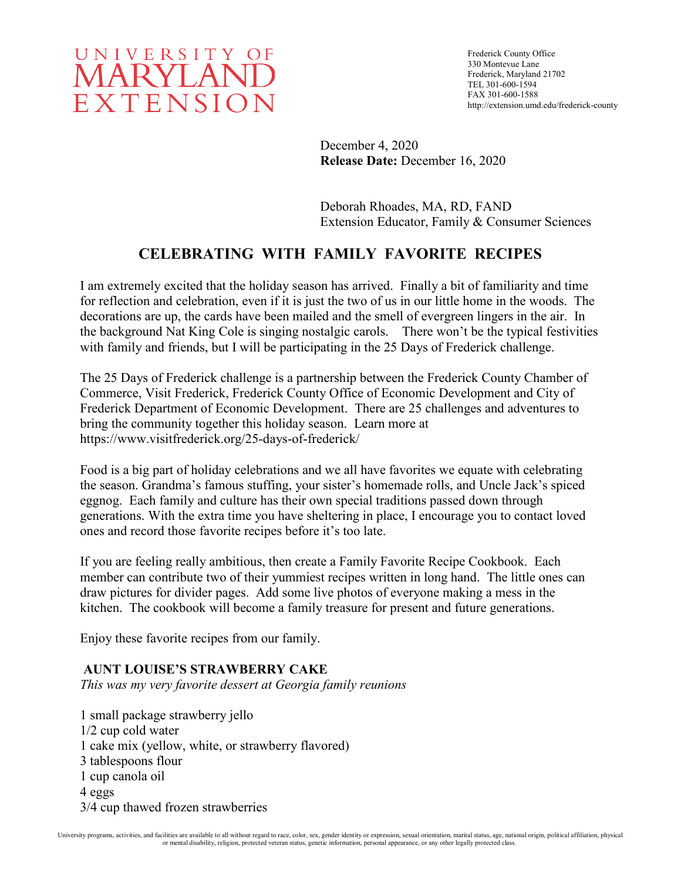

Frederick County Office 330 Montevue Lane Frederick, Maryland 21702 TEL 301-600-1594 FAX 301-600-1588 http://extension.umd.edu/frederick-county

December 4, 2020 **Release Date:** December 16, 2020

Deborah Rhoades, MA, RD, FAND Extension Educator, Family & Consumer Sciences

# **CELEBRATING WITH FAMILY FAVORITE RECIPES**

I am extremely excited that the holiday season has arrived. Finally a bit of familiarity and time for reflection and celebration, even if it is just the two of us in our little home in the woods. The decorations are up, the cards have been mailed and the smell of evergreen lingers in the air. In the background Nat King Cole is singing nostalgic carols. There won't be the typical festivities with family and friends, but I will be participating in the 25 Days of Frederick challenge.

The 25 Days of Frederick challenge is a partnership between the Frederick County Chamber of Commerce, Visit Frederick, Frederick County Office of Economic Development and City of Frederick Department of Economic Development. There are 25 challenges and adventures to bring the community together this holiday season. Learn more at https://www.visitfrederick.org/25-days-of-frederick/

Food is a big part of holiday celebrations and we all have favorites we equate with celebrating the season. Grandma's famous stuffing, your sister's homemade rolls, and Uncle Jack's spiced eggnog. Each family and culture has their own special traditions passed down through generations. With the extra time you have sheltering in place, I encourage you to contact loved ones and record those favorite recipes before it's too late.

If you are feeling really ambitious, then create a Family Favorite Recipe Cookbook. Each member can contribute two of their yummiest recipes written in long hand. The little ones can draw pictures for divider pages. Add some live photos of everyone making a mess in the kitchen. The cookbook will become a family treasure for present and future generations.

Enjoy these favorite recipes from our family.

# **AUNT LOUISE'S STRAWBERRY CAKE**

*This was my very favorite dessert at Georgia family reunions* 

1 small package strawberry jello 1/2 cup cold water 1 cake mix (yellow, white, or strawberry flavored) 3 tablespoons flour 1 cup canola oil 4 eggs 3/4 cup thawed frozen strawberries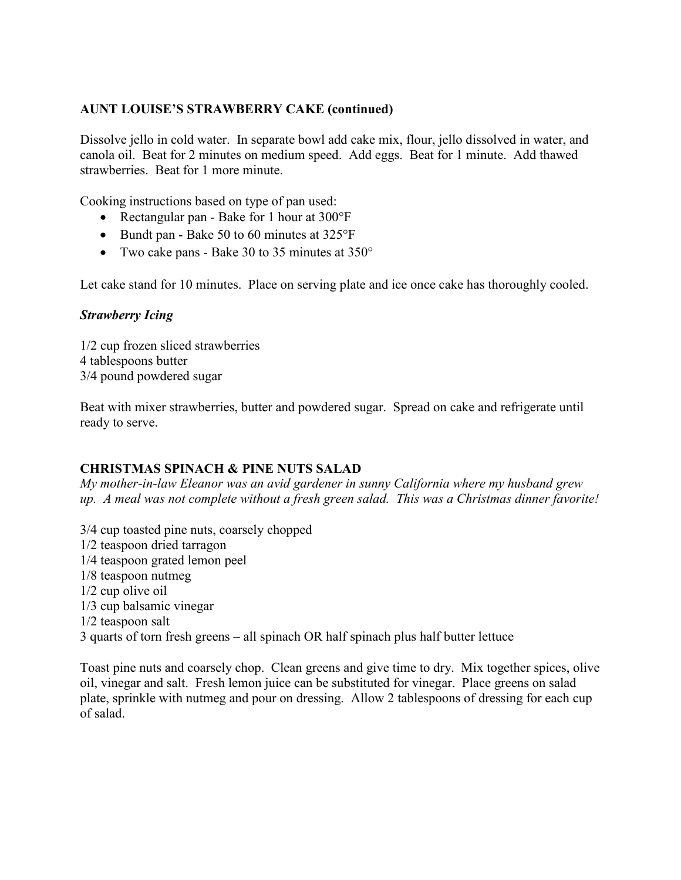# **AUNT LOUISE'S STRAWBERRY CAKE (continued)**

Dissolve jello in cold water. In separate bowl add cake mix, flour, jello dissolved in water, and canola oil. Beat for 2 minutes on medium speed. Add eggs. Beat for 1 minute. Add thawed strawberries. Beat for 1 more minute.

Cooking instructions based on type of pan used:

- Rectangular pan Bake for 1 hour at 300°F
- Bundt pan Bake 50 to 60 minutes at 325°F
- Two cake pans Bake 30 to 35 minutes at 350°

Let cake stand for 10 minutes. Place on serving plate and ice once cake has thoroughly cooled.

#### *Strawberry Icing*

1/2 cup frozen sliced strawberries 4 tablespoons butter 3/4 pound powdered sugar

Beat with mixer strawberries, butter and powdered sugar. Spread on cake and refrigerate until ready to serve.

# **CHRISTMAS SPINACH & PINE NUTS SALAD**

*My mother-in-law Eleanor was an avid gardener in sunny California where my husband grew up. A meal was not complete without a fresh green salad. This was a Christmas dinner favorite!*

3/4 cup toasted pine nuts, coarsely chopped 1/2 teaspoon dried tarragon 1/4 teaspoon grated lemon peel 1/8 teaspoon nutmeg 1/2 cup olive oil 1/3 cup balsamic vinegar 1/2 teaspoon salt 3 quarts of torn fresh greens – all spinach OR half spinach plus half butter lettuce

Toast pine nuts and coarsely chop. Clean greens and give time to dry. Mix together spices, olive oil, vinegar and salt. Fresh lemon juice can be substituted for vinegar. Place greens on salad plate, sprinkle with nutmeg and pour on dressing. Allow 2 tablespoons of dressing for each cup of salad.